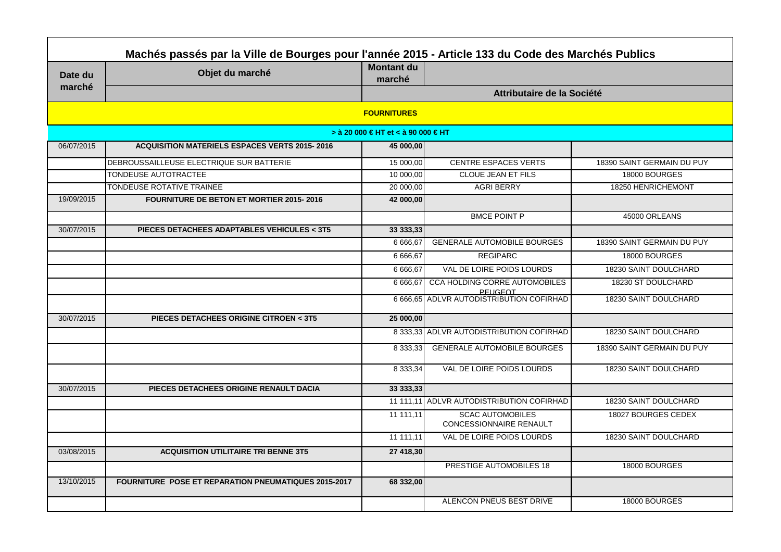|            | Machés passés par la Ville de Bourges pour l'année 2015 - Article 133 du Code des Marchés Publics |                                    |                                                    |                            |  |  |
|------------|---------------------------------------------------------------------------------------------------|------------------------------------|----------------------------------------------------|----------------------------|--|--|
| Date du    | Objet du marché                                                                                   | Montant du<br>marché               |                                                    |                            |  |  |
| marché     |                                                                                                   |                                    | Attributaire de la Société                         |                            |  |  |
|            |                                                                                                   | <b>FOURNITURES</b>                 |                                                    |                            |  |  |
|            |                                                                                                   | > à 20 000 € HT et < à 90 000 € HT |                                                    |                            |  |  |
| 06/07/2015 | <b>ACQUISITION MATERIELS ESPACES VERTS 2015-2016</b>                                              | 45 000,00                          |                                                    |                            |  |  |
|            | DEBROUSSAILLEUSE ELECTRIQUE SUR BATTERIE                                                          | 15 000,00                          | <b>CENTRE ESPACES VERTS</b>                        | 18390 SAINT GERMAIN DU PUY |  |  |
|            | TONDEUSE AUTOTRACTEE                                                                              | 10 000,00                          | <b>CLOUE JEAN ET FILS</b>                          | 18000 BOURGES              |  |  |
|            | TONDEUSE ROTATIVE TRAINEE                                                                         | 20 000,00                          | <b>AGRI BERRY</b>                                  | 18250 HENRICHEMONT         |  |  |
| 19/09/2015 | <b>FOURNITURE DE BETON ET MORTIER 2015-2016</b>                                                   | 42 000,00                          |                                                    |                            |  |  |
|            |                                                                                                   |                                    | <b>BMCE POINT P</b>                                | 45000 ORLEANS              |  |  |
| 30/07/2015 | PIECES DETACHEES ADAPTABLES VEHICULES < 3T5                                                       | 33 333,33                          |                                                    |                            |  |  |
|            |                                                                                                   | 6 666,67                           | <b>GENERALE AUTOMOBILE BOURGES</b>                 | 18390 SAINT GERMAIN DU PUY |  |  |
|            |                                                                                                   | 6 666,67                           | <b>REGIPARC</b>                                    | 18000 BOURGES              |  |  |
|            |                                                                                                   | 6 6 6 6.67                         | VAL DE LOIRE POIDS LOURDS                          | 18230 SAINT DOULCHARD      |  |  |
|            |                                                                                                   | 6 666.67                           | <b>CCA HOLDING CORRE AUTOMOBILES</b><br>PFUGFOT    | 18230 ST DOULCHARD         |  |  |
|            |                                                                                                   |                                    | 6 666,65 ADLVR AUTODISTRIBUTION COFIRHAD           | 18230 SAINT DOULCHARD      |  |  |
| 30/07/2015 | PIECES DETACHEES ORIGINE CITROEN < 3T5                                                            | 25 000,00                          |                                                    |                            |  |  |
|            |                                                                                                   |                                    | 8 333,33 ADLVR AUTODISTRIBUTION COFIRHAD           | 18230 SAINT DOULCHARD      |  |  |
|            |                                                                                                   |                                    | <b>GENERALE AUTOMOBILE BOURGES</b>                 | 18390 SAINT GERMAIN DU PUY |  |  |
|            |                                                                                                   | 8 3 3 3 , 3 4                      | VAL DE LOIRE POIDS LOURDS                          | 18230 SAINT DOULCHARD      |  |  |
| 30/07/2015 | PIECES DETACHEES ORIGINE RENAULT DACIA                                                            | 33 333,33                          |                                                    |                            |  |  |
|            |                                                                                                   |                                    | 11 111,11 ADLVR AUTODISTRIBUTION COFIRHAD          | 18230 SAINT DOULCHARD      |  |  |
|            |                                                                                                   | 11 111,11                          | <b>SCAC AUTOMOBILES</b><br>CONCESSIONNAIRE RENAULT | 18027 BOURGES CEDEX        |  |  |
|            |                                                                                                   | 11 111.11                          | VAL DE LOIRE POIDS LOURDS                          | 18230 SAINT DOULCHARD      |  |  |
| 03/08/2015 | <b>ACQUISITION UTILITAIRE TRI BENNE 3T5</b>                                                       | 27 418,30                          |                                                    |                            |  |  |
|            |                                                                                                   |                                    | <b>PRESTIGE AUTOMOBILES 18</b>                     | 18000 BOURGES              |  |  |
| 13/10/2015 | <b>FOURNITURE POSE ET REPARATION PNEUMATIQUES 2015-2017</b>                                       | 68 332,00                          |                                                    |                            |  |  |
|            |                                                                                                   |                                    | ALENCON PNEUS BEST DRIVE                           | 18000 BOURGES              |  |  |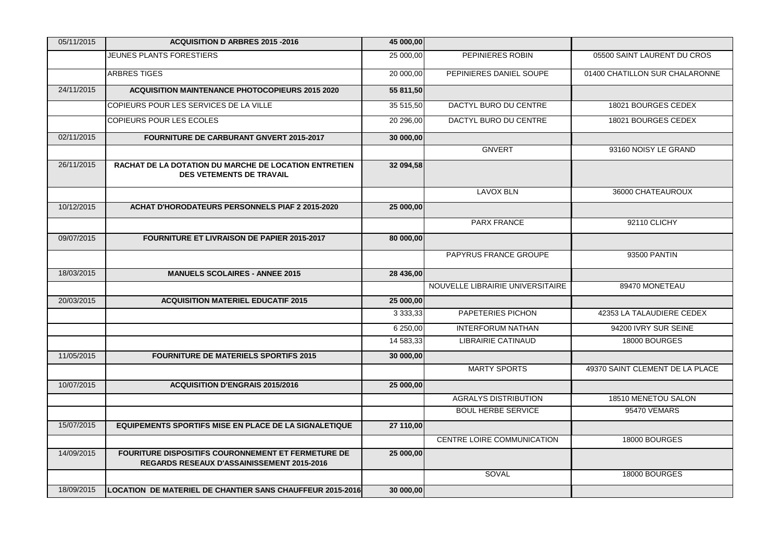| 05/11/2015 | <b>ACQUISITION D ARBRES 2015 -2016</b>                                                                  | 45 000,00 |                                  |                                 |
|------------|---------------------------------------------------------------------------------------------------------|-----------|----------------------------------|---------------------------------|
|            | JEUNES PLANTS FORESTIERS                                                                                | 25 000,00 | PEPINIERES ROBIN                 | 05500 SAINT LAURENT DU CROS     |
|            | <b>ARBRES TIGES</b>                                                                                     | 20 000,00 | PEPINIERES DANIEL SOUPE          | 01400 CHATILLON SUR CHALARONNE  |
| 24/11/2015 | <b>ACQUISITION MAINTENANCE PHOTOCOPIEURS 2015 2020</b>                                                  | 55 811,50 |                                  |                                 |
|            | COPIEURS POUR LES SERVICES DE LA VILLE                                                                  | 35 515,50 | DACTYL BURO DU CENTRE            | 18021 BOURGES CEDEX             |
|            | COPIEURS POUR LES ECOLES                                                                                | 20 296,00 | DACTYL BURO DU CENTRE            | 18021 BOURGES CEDEX             |
| 02/11/2015 | FOURNITURE DE CARBURANT GNVERT 2015-2017                                                                | 30 000,00 |                                  |                                 |
|            |                                                                                                         |           | <b>GNVERT</b>                    | 93160 NOISY LE GRAND            |
| 26/11/2015 | RACHAT DE LA DOTATION DU MARCHE DE LOCATION ENTRETIEN<br><b>DES VETEMENTS DE TRAVAIL</b>                | 32 094,58 |                                  |                                 |
|            |                                                                                                         |           | <b>LAVOX BLN</b>                 | 36000 CHATEAUROUX               |
| 10/12/2015 | <b>ACHAT D'HORODATEURS PERSONNELS PIAF 2 2015-2020</b>                                                  | 25 000,00 |                                  |                                 |
|            |                                                                                                         |           | <b>PARX FRANCE</b>               | 92110 CLICHY                    |
| 09/07/2015 | <b>FOURNITURE ET LIVRAISON DE PAPIER 2015-2017</b>                                                      | 80 000,00 |                                  |                                 |
|            |                                                                                                         |           | PAPYRUS FRANCE GROUPE            | 93500 PANTIN                    |
| 18/03/2015 | <b>MANUELS SCOLAIRES - ANNEE 2015</b>                                                                   | 28 436,00 |                                  |                                 |
|            |                                                                                                         |           | NOUVELLE LIBRAIRIE UNIVERSITAIRE | 89470 MONETEAU                  |
| 20/03/2015 | <b>ACQUISITION MATERIEL EDUCATIF 2015</b>                                                               | 25 000,00 |                                  |                                 |
|            |                                                                                                         |           | PAPETERIES PICHON                | 42353 LA TALAUDIERE CEDEX       |
|            |                                                                                                         | 6 250,00  | <b>INTERFORUM NATHAN</b>         | 94200 IVRY SUR SEINE            |
|            |                                                                                                         | 14 583,33 | <b>LIBRAIRIE CATINAUD</b>        | 18000 BOURGES                   |
| 11/05/2015 | <b>FOURNITURE DE MATERIELS SPORTIFS 2015</b>                                                            | 30 000,00 |                                  |                                 |
|            |                                                                                                         |           | <b>MARTY SPORTS</b>              | 49370 SAINT CLEMENT DE LA PLACE |
| 10/07/2015 | <b>ACQUISITION D'ENGRAIS 2015/2016</b>                                                                  | 25 000,00 |                                  |                                 |
|            |                                                                                                         |           | <b>AGRALYS DISTRIBUTION</b>      | 18510 MENETOU SALON             |
|            |                                                                                                         |           | <b>BOUL HERBE SERVICE</b>        | 95470 VEMARS                    |
| 15/07/2015 | <b>EQUIPEMENTS SPORTIFS MISE EN PLACE DE LA SIGNALETIQUE</b>                                            | 27 110,00 |                                  |                                 |
|            |                                                                                                         |           | CENTRE LOIRE COMMUNICATION       | 18000 BOURGES                   |
| 14/09/2015 | FOURITURE DISPOSITIFS COURONNEMENT ET FERMETURE DE<br><b>REGARDS RESEAUX D'ASSAINISSEMENT 2015-2016</b> | 25 000,00 |                                  |                                 |
|            |                                                                                                         |           | SOVAL                            | 18000 BOURGES                   |
| 18/09/2015 | LOCATION DE MATERIEL DE CHANTIER SANS CHAUFFEUR 2015-2016                                               | 30 000,00 |                                  |                                 |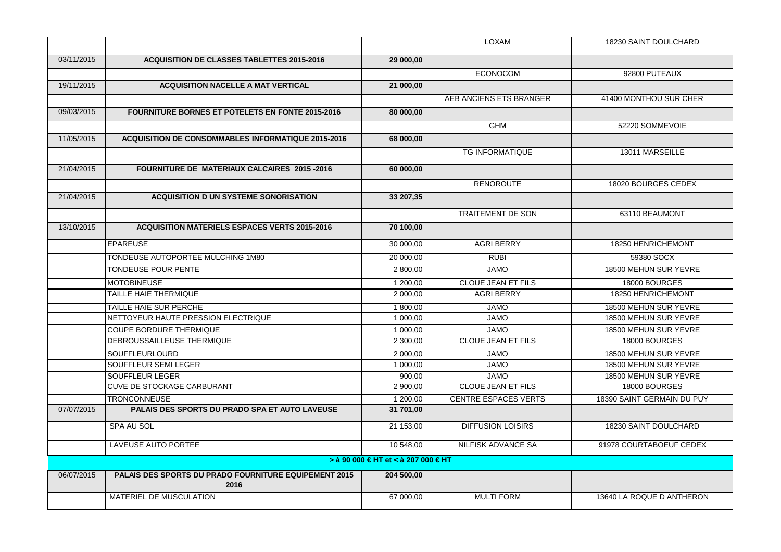|            |                                                               |                                     | <b>LOXAM</b>                | 18230 SAINT DOULCHARD      |
|------------|---------------------------------------------------------------|-------------------------------------|-----------------------------|----------------------------|
| 03/11/2015 | <b>ACQUISITION DE CLASSES TABLETTES 2015-2016</b>             | 29 000,00                           |                             |                            |
|            |                                                               |                                     | <b>ECONOCOM</b>             | 92800 PUTEAUX              |
| 19/11/2015 | <b>ACQUISITION NACELLE A MAT VERTICAL</b>                     | 21 000,00                           |                             |                            |
|            |                                                               |                                     | AEB ANCIENS ETS BRANGER     | 41400 MONTHOU SUR CHER     |
| 09/03/2015 | <b>FOURNITURE BORNES ET POTELETS EN FONTE 2015-2016</b>       | 80 000,00                           |                             |                            |
|            |                                                               |                                     | <b>GHM</b>                  | 52220 SOMMEVOIE            |
| 11/05/2015 | <b>ACQUISITION DE CONSOMMABLES INFORMATIQUE 2015-2016</b>     | 68 000,00                           |                             |                            |
|            |                                                               |                                     | <b>TG INFORMATIQUE</b>      | 13011 MARSEILLE            |
|            |                                                               |                                     |                             |                            |
| 21/04/2015 | <b>FOURNITURE DE MATERIAUX CALCAIRES 2015-2016</b>            | 60 000,00                           |                             |                            |
|            |                                                               |                                     | <b>RENOROUTE</b>            | 18020 BOURGES CEDEX        |
| 21/04/2015 | <b>ACQUISITION D UN SYSTEME SONORISATION</b>                  | 33 207,35                           |                             |                            |
|            |                                                               |                                     | <b>TRAITEMENT DE SON</b>    | 63110 BEAUMONT             |
| 13/10/2015 | <b>ACQUISITION MATERIELS ESPACES VERTS 2015-2016</b>          | 70 100,00                           |                             |                            |
|            | <b>EPAREUSE</b>                                               | 30 000,00                           | <b>AGRI BERRY</b>           | 18250 HENRICHEMONT         |
|            |                                                               |                                     |                             |                            |
|            | TONDEUSE AUTOPORTEE MULCHING 1M80                             | 20 000,00                           | <b>RUBI</b>                 | 59380 SOCX                 |
|            | TONDEUSE POUR PENTE                                           | 2 800,00                            | <b>JAMO</b>                 | 18500 MEHUN SUR YEVRE      |
|            | <b>MOTOBINEUSE</b>                                            | 1 200,00                            | <b>CLOUE JEAN ET FILS</b>   | 18000 BOURGES              |
|            | TAILLE HAIE THERMIQUE                                         | 2 000,00                            | <b>AGRI BERRY</b>           | 18250 HENRICHEMONT         |
|            | TAILLE HAIE SUR PERCHE                                        | 1 800,00                            | <b>JAMO</b>                 | 18500 MEHUN SUR YEVRE      |
|            | NETTOYEUR HAUTE PRESSION ELECTRIQUE                           | 1 000,00                            | <b>JAMO</b>                 | 18500 MEHUN SUR YEVRE      |
|            | <b>COUPE BORDURE THERMIQUE</b>                                | 1 000,00                            | <b>JAMO</b>                 | 18500 MEHUN SUR YEVRE      |
|            | DEBROUSSAILLEUSE THERMIQUE                                    | 2 300,00                            | CLOUE JEAN ET FILS          | 18000 BOURGES              |
|            | <b>SOUFFLEURLOURD</b>                                         | 2 000,00                            | <b>JAMO</b>                 | 18500 MEHUN SUR YEVRE      |
|            | SOUFFLEUR SEMI LEGER                                          | 1 000,00                            | <b>JAMO</b>                 | 18500 MEHUN SUR YEVRE      |
|            | <b>SOUFFLEUR LEGER</b>                                        | 900.00                              | <b>JAMO</b>                 | 18500 MEHUN SUR YEVRE      |
|            | <b>CUVE DE STOCKAGE CARBURANT</b>                             | 2 900,00                            | <b>CLOUE JEAN ET FILS</b>   | 18000 BOURGES              |
|            | <b>TRONCONNEUSE</b>                                           | 1 200,00                            | <b>CENTRE ESPACES VERTS</b> | 18390 SAINT GERMAIN DU PUY |
| 07/07/2015 | PALAIS DES SPORTS DU PRADO SPA ET AUTO LAVEUSE                | 31 701,00                           |                             |                            |
|            | SPA AU SOL                                                    | 21 153,00                           | <b>DIFFUSION LOISIRS</b>    | 18230 SAINT DOULCHARD      |
|            | LAVEUSE AUTO PORTEE                                           | 10 548,00                           | <b>NILFISK ADVANCE SA</b>   | 91978 COURTABOEUF CEDEX    |
|            |                                                               | > à 90 000 € HT et < à 207 000 € HT |                             |                            |
| 06/07/2015 | PALAIS DES SPORTS DU PRADO FOURNITURE EQUIPEMENT 2015<br>2016 | 204 500.00                          |                             |                            |
|            | MATERIEL DE MUSCULATION                                       | 67 000,00                           | <b>MULTI FORM</b>           | 13640 LA ROQUE D ANTHERON  |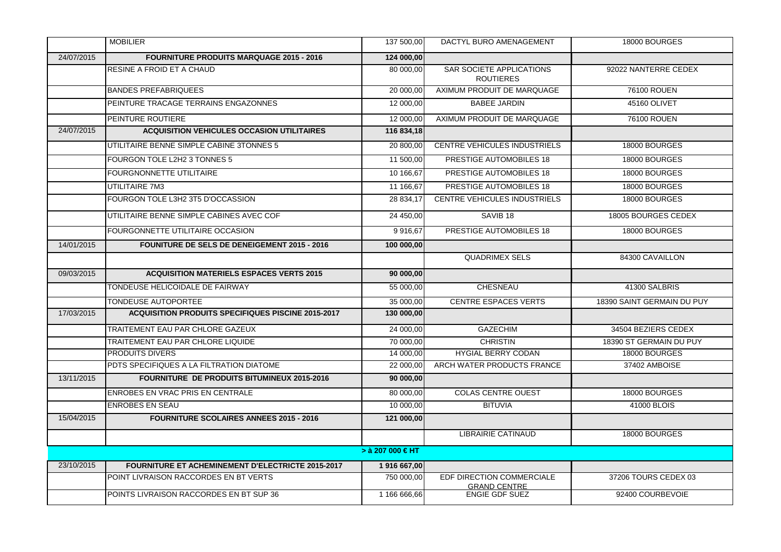|            | <b>MOBILIER</b>                                           | 137 500,00               | DACTYL BURO AMENAGEMENT                          | 18000 BOURGES              |
|------------|-----------------------------------------------------------|--------------------------|--------------------------------------------------|----------------------------|
| 24/07/2015 | <b>FOURNITURE PRODUITS MARQUAGE 2015 - 2016</b>           | 124 000,00               |                                                  |                            |
|            | RESINE A FROID ET A CHAUD                                 | 80 000,00                | SAR SOCIETE APPLICATIONS<br><b>ROUTIERES</b>     | 92022 NANTERRE CEDEX       |
|            | <b>BANDES PREFABRIQUEES</b>                               | 20 000,00                | AXIMUM PRODUIT DE MARQUAGE                       | 76100 ROUEN                |
|            | PEINTURE TRACAGE TERRAINS ENGAZONNES                      | 12 000,00                | <b>BABEE JARDIN</b>                              | 45160 OLIVET               |
|            | PEINTURE ROUTIERE                                         | 12 000.00                | AXIMUM PRODUIT DE MARQUAGE                       | <b>76100 ROUEN</b>         |
| 24/07/2015 | <b>ACQUISITION VEHICULES OCCASION UTILITAIRES</b>         | 116 834,18               |                                                  |                            |
|            | UTILITAIRE BENNE SIMPLE CABINE 3TONNES 5                  | 20 800.00                | CENTRE VEHICULES INDUSTRIELS                     | 18000 BOURGES              |
|            | FOURGON TOLE L2H2 3 TONNES 5                              | 11 500,00                | PRESTIGE AUTOMOBILES 18                          | 18000 BOURGES              |
|            | <b>FOURGNONNETTE UTILITAIRE</b>                           | 10 166,67                | PRESTIGE AUTOMOBILES 18                          | 18000 BOURGES              |
|            | UTILITAIRE 7M3                                            | 11 166.67                | PRESTIGE AUTOMOBILES 18                          | 18000 BOURGES              |
|            | FOURGON TOLE L3H2 3T5 D'OCCASSION                         | 28 834.17                | CENTRE VEHICULES INDUSTRIELS                     | 18000 BOURGES              |
|            | UTILITAIRE BENNE SIMPLE CABINES AVEC COF                  | 24 450,00                | SAVIB <sub>18</sub>                              | 18005 BOURGES CEDEX        |
|            | FOURGONNETTE UTILITAIRE OCCASION                          | 9916,67                  | PRESTIGE AUTOMOBILES 18                          | 18000 BOURGES              |
| 14/01/2015 | <b>FOUNITURE DE SELS DE DENEIGEMENT 2015 - 2016</b>       | 100 000,00               |                                                  |                            |
|            |                                                           |                          | <b>QUADRIMEX SELS</b>                            | 84300 CAVAILLON            |
| 09/03/2015 | <b>ACQUISITION MATERIELS ESPACES VERTS 2015</b>           | 90 000,00                |                                                  |                            |
|            | TONDEUSE HELICOIDALE DE FAIRWAY                           | 55 000,00                | <b>CHESNEAU</b>                                  | 41300 SALBRIS              |
|            | <b>TONDEUSE AUTOPORTEE</b>                                | 35 000,00                | <b>CENTRE ESPACES VERTS</b>                      | 18390 SAINT GERMAIN DU PUY |
| 17/03/2015 | <b>ACQUISITION PRODUITS SPECIFIQUES PISCINE 2015-2017</b> | 130 000,00               |                                                  |                            |
|            | TRAITEMENT EAU PAR CHLORE GAZEUX                          | 24 000,00                | <b>GAZECHIM</b>                                  | 34504 BEZIERS CEDEX        |
|            | TRAITEMENT EAU PAR CHLORE LIQUIDE                         | 70 000,00                | <b>CHRISTIN</b>                                  | 18390 ST GERMAIN DU PUY    |
|            | <b>PRODUITS DIVERS</b>                                    | 14 000,00                | <b>HYGIAL BERRY CODAN</b>                        | 18000 BOURGES              |
|            | PDTS SPECIFIQUES A LA FILTRATION DIATOME                  | 22 000,00                | ARCH WATER PRODUCTS FRANCE                       | 37402 AMBOISE              |
| 13/11/2015 | FOURNITURE DE PRODUITS BITUMINEUX 2015-2016               | 90 000,00                |                                                  |                            |
|            | ENROBES EN VRAC PRIS EN CENTRALE                          | 80 000,00                | <b>COLAS CENTRE OUEST</b>                        | 18000 BOURGES              |
|            | <b>ENROBES EN SEAU</b>                                    | 10 000,00                | <b>BITUVIA</b>                                   | 41000 BLOIS                |
| 15/04/2015 | <b>FOURNITURE SCOLAIRES ANNEES 2015 - 2016</b>            | 121 000,00               |                                                  |                            |
|            |                                                           |                          | <b>LIBRAIRIE CATINAUD</b>                        | 18000 BOURGES              |
|            |                                                           | > $\dot{a}$ 207 000 € HT |                                                  |                            |
| 23/10/2015 | <b>FOURNITURE ET ACHEMINEMENT D'ELECTRICTE 2015-2017</b>  | 1916 667,00              |                                                  |                            |
|            | POINT LIVRAISON RACCORDES EN BT VERTS                     | 750 000,00               | EDF DIRECTION COMMERCIALE<br><b>GRAND CENTRE</b> | 37206 TOURS CEDEX 03       |
|            | POINTS LIVRAISON RACCORDES EN BT SUP 36                   | 1 166 666,66             | <b>ENGIE GDF SUEZ</b>                            | 92400 COURBEVOIE           |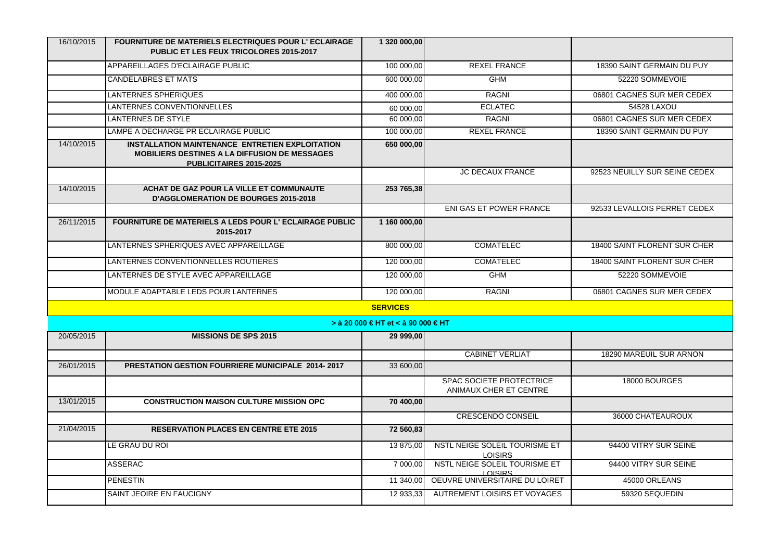| 16/10/2015 | FOURNITURE DE MATERIELS ELECTRIQUES POUR L'ECLAIRAGE<br>PUBLIC ET LES FEUX TRICOLORES 2015-2017                                    | 1 320 000,00                       |                                                    |                               |
|------------|------------------------------------------------------------------------------------------------------------------------------------|------------------------------------|----------------------------------------------------|-------------------------------|
|            | APPAREILLAGES D'ECLAIRAGE PUBLIC                                                                                                   | 100 000,00                         | <b>REXEL FRANCE</b>                                | 18390 SAINT GERMAIN DU PUY    |
|            | <b>CANDELABRES ET MATS</b>                                                                                                         | 600 000,00                         | GHM                                                | 52220 SOMMEVOIE               |
|            | LANTERNES SPHERIQUES                                                                                                               | 400 000,00                         | <b>RAGNI</b>                                       | 06801 CAGNES SUR MER CEDEX    |
|            | LANTERNES CONVENTIONNELLES                                                                                                         | 60 000,00                          | <b>ECLATEC</b>                                     | 54528 LAXOU                   |
|            | LANTERNES DE STYLE                                                                                                                 | 60 000,00                          | <b>RAGNI</b>                                       | 06801 CAGNES SUR MER CEDEX    |
|            | LAMPE A DECHARGE PR ECLAIRAGE PUBLIC                                                                                               | 100 000,00                         | <b>REXEL FRANCE</b>                                | 18390 SAINT GERMAIN DU PUY    |
| 14/10/2015 | INSTALLATION MAINTENANCE ENTRETIEN EXPLOITATION<br><b>MOBILIERS DESTINES A LA DIFFUSION DE MESSAGES</b><br>PUBLICITAIRES 2015-2025 | 650 000,00                         |                                                    |                               |
|            |                                                                                                                                    |                                    | <b>JC DECAUX FRANCE</b>                            | 92523 NEUILLY SUR SEINE CEDEX |
| 14/10/2015 | ACHAT DE GAZ POUR LA VILLE ET COMMUNAUTE<br><b>D'AGGLOMERATION DE BOURGES 2015-2018</b>                                            | 253 765,38                         |                                                    |                               |
|            |                                                                                                                                    |                                    | ENI GAS ET POWER FRANCE                            | 92533 LEVALLOIS PERRET CEDEX  |
| 26/11/2015 | <b>FOURNITURE DE MATERIELS A LEDS POUR L'ECLAIRAGE PUBLIC</b><br>2015-2017                                                         | 1 160 000,00                       |                                                    |                               |
|            | LANTERNES SPHERIQUES AVEC APPAREILLAGE                                                                                             | 800 000,00                         | <b>COMATELEC</b>                                   | 18400 SAINT FLORENT SUR CHER  |
|            | LANTERNES CONVENTIONNELLES ROUTIERES                                                                                               | 120 000.00                         | <b>COMATELEC</b>                                   | 18400 SAINT FLORENT SUR CHER  |
|            | LANTERNES DE STYLE AVEC APPAREILLAGE                                                                                               | 120 000,00                         | <b>GHM</b>                                         | 52220 SOMMEVOIE               |
|            | MODULE ADAPTABLE LEDS POUR LANTERNES                                                                                               | 120 000,00                         | <b>RAGNI</b>                                       | 06801 CAGNES SUR MER CEDEX    |
|            |                                                                                                                                    | <b>SERVICES</b>                    |                                                    |                               |
|            |                                                                                                                                    | > à 20 000 € HT et < à 90 000 € HT |                                                    |                               |
| 20/05/2015 | <b>MISSIONS DE SPS 2015</b>                                                                                                        | 29 999,00                          |                                                    |                               |
|            |                                                                                                                                    |                                    | <b>CABINET VERLIAT</b>                             | 18290 MAREUIL SUR ARNON       |
| 26/01/2015 | <b>PRESTATION GESTION FOURRIERE MUNICIPALE 2014-2017</b>                                                                           | 33 600,00                          |                                                    |                               |
|            |                                                                                                                                    |                                    | SPAC SOCIETE PROTECTRICE<br>ANIMAUX CHER ET CENTRE | 18000 BOURGES                 |
| 13/01/2015 | <b>CONSTRUCTION MAISON CULTURE MISSION OPC</b>                                                                                     | 70 400,00                          |                                                    |                               |
|            |                                                                                                                                    |                                    | <b>CRESCENDO CONSEIL</b>                           | 36000 CHATEAUROUX             |
| 21/04/2015 | <b>RESERVATION PLACES EN CENTRE ETE 2015</b>                                                                                       | 72 560,83                          |                                                    |                               |
|            | LE GRAU DU ROI                                                                                                                     | 13 875,00                          | NSTL NEIGE SOLEIL TOURISME ET<br><b>LOISIRS</b>    | 94400 VITRY SUR SEINE         |
|            | <b>ASSERAC</b>                                                                                                                     | 7 000,00                           | NSTL NEIGE SOLEIL TOURISME ET<br><b>LOISIRS</b>    | 94400 VITRY SUR SEINE         |
|            | <b>PENESTIN</b>                                                                                                                    | 11 340.00                          | OEUVRE UNIVERSITAIRE DU LOIRET                     | 45000 ORLEANS                 |
|            | SAINT JEOIRE EN FAUCIGNY                                                                                                           | 12 933.33                          | <b>AUTREMENT LOISIRS ET VOYAGES</b>                | 59320 SEQUEDIN                |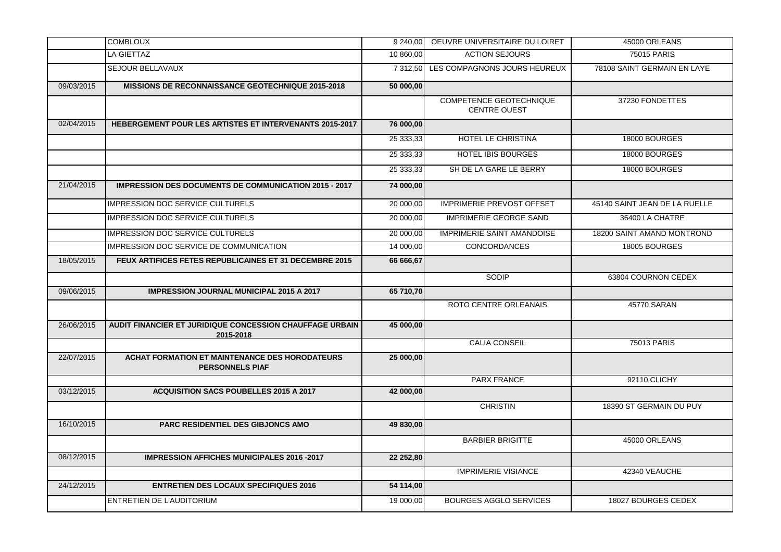|            | <b>COMBLOUX</b>                                                                 | 9 240,00  | OEUVRE UNIVERSITAIRE DU LOIRET                 | 45000 ORLEANS                 |
|------------|---------------------------------------------------------------------------------|-----------|------------------------------------------------|-------------------------------|
|            | LA GIETTAZ                                                                      | 10 860,00 | <b>ACTION SEJOURS</b>                          | 75015 PARIS                   |
|            | SEJOUR BELLAVAUX                                                                |           | 7 312,50 LES COMPAGNONS JOURS HEUREUX          | 78108 SAINT GERMAIN EN LAYE   |
| 09/03/2015 | <b>MISSIONS DE RECONNAISSANCE GEOTECHNIQUE 2015-2018</b>                        | 50 000,00 |                                                |                               |
|            |                                                                                 |           | COMPETENCE GEOTECHNIQUE<br><b>CENTRE OUEST</b> | 37230 FONDETTES               |
| 02/04/2015 | <b>HEBERGEMENT POUR LES ARTISTES ET INTERVENANTS 2015-2017</b>                  | 76 000,00 |                                                |                               |
|            |                                                                                 | 25 333,33 | HOTEL LE CHRISTINA                             | 18000 BOURGES                 |
|            |                                                                                 | 25 333,33 | <b>HOTEL IBIS BOURGES</b>                      | 18000 BOURGES                 |
|            |                                                                                 | 25 333,33 | SH DE LA GARE LE BERRY                         | 18000 BOURGES                 |
| 21/04/2015 | <b>IMPRESSION DES DOCUMENTS DE COMMUNICATION 2015 - 2017</b>                    | 74 000,00 |                                                |                               |
|            | <b>IMPRESSION DOC SERVICE CULTURELS</b>                                         | 20 000,00 | <b>IMPRIMERIE PREVOST OFFSET</b>               | 45140 SAINT JEAN DE LA RUELLE |
|            | <b>IMPRESSION DOC SERVICE CULTURELS</b>                                         | 20 000,00 | <b>IMPRIMERIE GEORGE SAND</b>                  | 36400 LA CHATRE               |
|            | <b>IMPRESSION DOC SERVICE CULTURELS</b>                                         | 20 000,00 | <b>IMPRIMERIE SAINT AMANDOISE</b>              | 18200 SAINT AMAND MONTROND    |
|            | IMPRESSION DOC SERVICE DE COMMUNICATION                                         | 14 000,00 | <b>CONCORDANCES</b>                            | 18005 BOURGES                 |
| 18/05/2015 | FEUX ARTIFICES FETES REPUBLICAINES ET 31 DECEMBRE 2015                          | 66 666,67 |                                                |                               |
|            |                                                                                 |           | SODIP                                          | 63804 COURNON CEDEX           |
| 09/06/2015 | <b>IMPRESSION JOURNAL MUNICIPAL 2015 A 2017</b>                                 | 65 710,70 |                                                |                               |
|            |                                                                                 |           | ROTO CENTRE ORLEANAIS                          | 45770 SARAN                   |
| 26/06/2015 | AUDIT FINANCIER ET JURIDIQUE CONCESSION CHAUFFAGE URBAIN<br>2015-2018           | 45 000,00 |                                                |                               |
|            |                                                                                 |           | <b>CALIA CONSEIL</b>                           | 75013 PARIS                   |
| 22/07/2015 | <b>ACHAT FORMATION ET MAINTENANCE DES HORODATEURS</b><br><b>PERSONNELS PIAF</b> | 25 000,00 |                                                |                               |
|            |                                                                                 |           | <b>PARX FRANCE</b>                             | 92110 CLICHY                  |
| 03/12/2015 | <b>ACQUISITION SACS POUBELLES 2015 A 2017</b>                                   | 42 000,00 |                                                |                               |
|            |                                                                                 |           | <b>CHRISTIN</b>                                | 18390 ST GERMAIN DU PUY       |
| 16/10/2015 | PARC RESIDENTIEL DES GIBJONCS AMO                                               | 49 830,00 |                                                |                               |
|            |                                                                                 |           | <b>BARBIER BRIGITTE</b>                        | 45000 ORLEANS                 |
| 08/12/2015 | <b>IMPRESSION AFFICHES MUNICIPALES 2016 -2017</b>                               | 22 252,80 |                                                |                               |
|            |                                                                                 |           | <b>IMPRIMERIE VISIANCE</b>                     | 42340 VEAUCHE                 |
| 24/12/2015 | <b>ENTRETIEN DES LOCAUX SPECIFIQUES 2016</b>                                    | 54 114,00 |                                                |                               |
|            | <b>ENTRETIEN DE L'AUDITORIUM</b>                                                | 19 000,00 | <b>BOURGES AGGLO SERVICES</b>                  | 18027 BOURGES CEDEX           |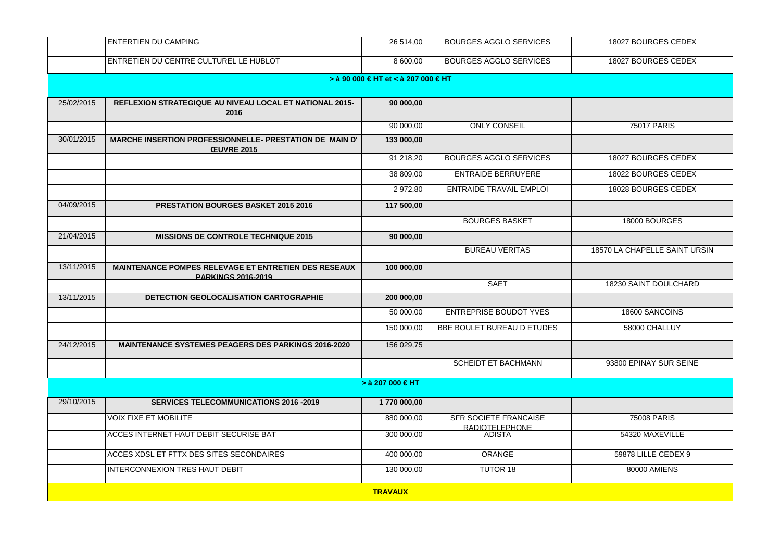|            | <b>ENTERTIEN DU CAMPING</b>                                                              | 26 514,00                           | <b>BOURGES AGGLO SERVICES</b>                   | 18027 BOURGES CEDEX           |  |  |
|------------|------------------------------------------------------------------------------------------|-------------------------------------|-------------------------------------------------|-------------------------------|--|--|
|            | ENTRETIEN DU CENTRE CULTUREL LE HUBLOT                                                   | 8 600,00                            | <b>BOURGES AGGLO SERVICES</b>                   | 18027 BOURGES CEDEX           |  |  |
|            |                                                                                          | > à 90 000 € HT et < à 207 000 € HT |                                                 |                               |  |  |
| 25/02/2015 | REFLEXION STRATEGIQUE AU NIVEAU LOCAL ET NATIONAL 2015-<br>2016                          | 90 000,00                           |                                                 |                               |  |  |
|            |                                                                                          | 90 000,00                           | <b>ONLY CONSEIL</b>                             | <b>75017 PARIS</b>            |  |  |
| 30/01/2015 | <b>MARCHE INSERTION PROFESSIONNELLE- PRESTATION DE MAIN D'</b><br><b>ŒUVRE 2015</b>      | 133 000,00                          |                                                 |                               |  |  |
|            |                                                                                          | 91 218,20                           | <b>BOURGES AGGLO SERVICES</b>                   | 18027 BOURGES CEDEX           |  |  |
|            |                                                                                          | 38 809,00                           | <b>ENTRAIDE BERRUYERE</b>                       | 18022 BOURGES CEDEX           |  |  |
|            |                                                                                          | 2 972,80                            | <b>ENTRAIDE TRAVAIL EMPLOI</b>                  | 18028 BOURGES CEDEX           |  |  |
| 04/09/2015 | <b>PRESTATION BOURGES BASKET 2015 2016</b>                                               | 117 500,00                          |                                                 |                               |  |  |
|            |                                                                                          |                                     | <b>BOURGES BASKET</b>                           | 18000 BOURGES                 |  |  |
| 21/04/2015 | <b>MISSIONS DE CONTROLE TECHNIQUE 2015</b>                                               | 90 000,00                           |                                                 |                               |  |  |
|            |                                                                                          |                                     | <b>BUREAU VERITAS</b>                           | 18570 LA CHAPELLE SAINT URSIN |  |  |
| 13/11/2015 | <b>MAINTENANCE POMPES RELEVAGE ET ENTRETIEN DES RESEAUX</b><br><b>PARKINGS 2016-2019</b> | 100 000,00                          |                                                 |                               |  |  |
|            |                                                                                          |                                     | <b>SAET</b>                                     | 18230 SAINT DOULCHARD         |  |  |
| 13/11/2015 | <b>DETECTION GEOLOCALISATION CARTOGRAPHIE</b>                                            | 200 000,00                          |                                                 |                               |  |  |
|            |                                                                                          | 50 000,00                           | <b>ENTREPRISE BOUDOT YVES</b>                   | 18600 SANCOINS                |  |  |
|            |                                                                                          | 150 000,00                          | BBE BOULET BUREAU D ETUDES                      | 58000 CHALLUY                 |  |  |
| 24/12/2015 | <b>MAINTENANCE SYSTEMES PEAGERS DES PARKINGS 2016-2020</b>                               | 156 029,75                          |                                                 |                               |  |  |
|            |                                                                                          |                                     | SCHEIDT ET BACHMANN                             | 93800 EPINAY SUR SEINE        |  |  |
|            |                                                                                          | > $\hat{a}$ 207 000 € HT            |                                                 |                               |  |  |
| 29/10/2015 | <b>SERVICES TELECOMMUNICATIONS 2016 -2019</b>                                            | 1770 000,00                         |                                                 |                               |  |  |
|            | <b>VOIX FIXE ET MOBILITE</b>                                                             | 880 000,00                          | <b>SFR SOCIETE FRANCAISE</b><br>RADIOTEL EPHONE | 75008 PARIS                   |  |  |
|            | ACCES INTERNET HAUT DEBIT SECURISE BAT                                                   | 300 000,00                          | <b>ADISTA</b>                                   | 54320 MAXEVILLE               |  |  |
|            | ACCES XDSL ET FTTX DES SITES SECONDAIRES                                                 | 400 000,00                          | ORANGE                                          | 59878 LILLE CEDEX 9           |  |  |
|            | INTERCONNEXION TRES HAUT DEBIT                                                           | 130 000,00                          | TUTOR 18                                        | 80000 AMIENS                  |  |  |
|            | <b>TRAVAUX</b>                                                                           |                                     |                                                 |                               |  |  |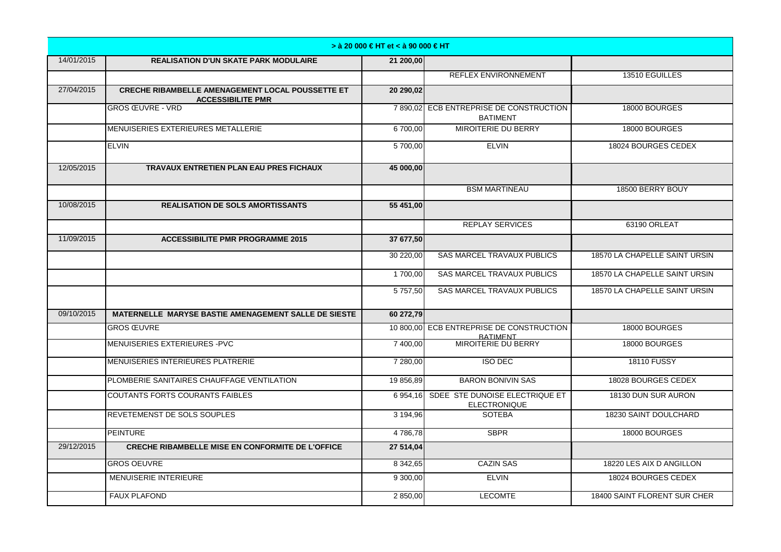|            |                                                                                     | > à 20 000 € HT et < à 90 000 € HT |                                                             |                               |
|------------|-------------------------------------------------------------------------------------|------------------------------------|-------------------------------------------------------------|-------------------------------|
| 14/01/2015 | <b>REALISATION D'UN SKATE PARK MODULAIRE</b>                                        | 21 200,00                          |                                                             |                               |
|            |                                                                                     |                                    | <b>REFLEX ENVIRONNEMENT</b>                                 | 13510 EGUILLES                |
| 27/04/2015 | <b>CRECHE RIBAMBELLE AMENAGEMENT LOCAL POUSSETTE ET</b><br><b>ACCESSIBILITE PMR</b> | 20 290,02                          |                                                             |                               |
|            | <b>GROS ŒUVRE - VRD</b>                                                             |                                    | 7 890,02 ECB ENTREPRISE DE CONSTRUCTION<br><b>BATIMENT</b>  | 18000 BOURGES                 |
|            | MENUISERIES EXTERIEURES METALLERIE                                                  | 6700,00                            | MIROITERIE DU BERRY                                         | 18000 BOURGES                 |
|            | <b>ELVIN</b>                                                                        | 5700,00                            | <b>ELVIN</b>                                                | 18024 BOURGES CEDEX           |
| 12/05/2015 | TRAVAUX ENTRETIEN PLAN EAU PRES FICHAUX                                             | 45 000,00                          |                                                             |                               |
|            |                                                                                     |                                    | <b>BSM MARTINEAU</b>                                        | 18500 BERRY BOUY              |
| 10/08/2015 | <b>REALISATION DE SOLS AMORTISSANTS</b>                                             | 55 451,00                          |                                                             |                               |
|            |                                                                                     |                                    | <b>REPLAY SERVICES</b>                                      | 63190 ORLEAT                  |
| 11/09/2015 | <b>ACCESSIBILITE PMR PROGRAMME 2015</b>                                             | 37 677.50                          |                                                             |                               |
|            |                                                                                     | 30 220,00                          | SAS MARCEL TRAVAUX PUBLICS                                  | 18570 LA CHAPELLE SAINT URSIN |
|            |                                                                                     | 1 700,00                           | <b>SAS MARCEL TRAVAUX PUBLICS</b>                           | 18570 LA CHAPELLE SAINT URSIN |
|            |                                                                                     | $\overline{5757,50}$               | <b>SAS MARCEL TRAVAUX PUBLICS</b>                           | 18570 LA CHAPELLE SAINT URSIN |
| 09/10/2015 | MATERNELLE MARYSE BASTIE AMENAGEMENT SALLE DE SIESTE                                | 60 272.79                          |                                                             |                               |
|            | <b>GROS ŒUVRE</b>                                                                   |                                    | 10 800,00 ECB ENTREPRISE DE CONSTRUCTION<br><b>BATIMENT</b> | 18000 BOURGES                 |
|            | MENUISERIES EXTERIEURES - PVC                                                       | 7 400,00                           | MIROITERIE DU BERRY                                         | 18000 BOURGES                 |
|            | MENUISERIES INTERIEURES PLATRERIE                                                   | 7 280,00                           | <b>ISO DEC</b>                                              | <b>18110 FUSSY</b>            |
|            | PLOMBERIE SANITAIRES CHAUFFAGE VENTILATION                                          | 19 856,89                          | <b>BARON BONIVIN SAS</b>                                    | 18028 BOURGES CEDEX           |
|            | <b>COUTANTS FORTS COURANTS FAIBLES</b>                                              | 6 954.16                           | SDEE STE DUNOISE ELECTRIQUE ET<br><b>ELECTRONIQUE</b>       | 18130 DUN SUR AURON           |
|            | REVETEMENST DE SOLS SOUPLES                                                         | 3 194,96                           | <b>SOTEBA</b>                                               | 18230 SAINT DOULCHARD         |
|            | <b>PEINTURE</b>                                                                     | 4786.78                            | <b>SBPR</b>                                                 | 18000 BOURGES                 |
| 29/12/2015 | <b>CRECHE RIBAMBELLE MISE EN CONFORMITE DE L'OFFICE</b>                             | 27 514,04                          |                                                             |                               |
|            | <b>GROS OEUVRE</b>                                                                  | 8 342,65                           | <b>CAZIN SAS</b>                                            | 18220 LES AIX D ANGILLON      |
|            | MENUISERIE INTERIEURE                                                               | 9 300,00                           | <b>ELVIN</b>                                                | 18024 BOURGES CEDEX           |
|            | <b>FAUX PLAFOND</b>                                                                 | 2 850,00                           | <b>LECOMTE</b>                                              | 18400 SAINT FLORENT SUR CHER  |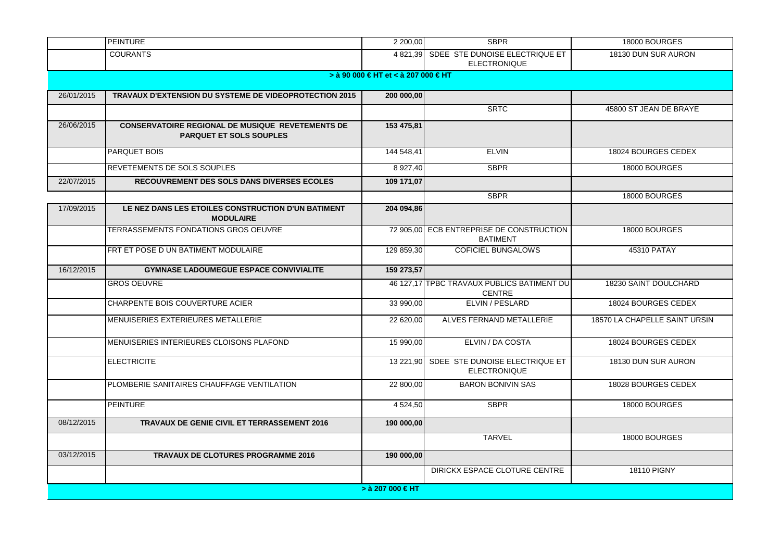|            | <b>PEINTURE</b>                                                                           | 2 200,00         | <b>SBPR</b>                                                   | 18000 BOURGES                 |  |  |  |
|------------|-------------------------------------------------------------------------------------------|------------------|---------------------------------------------------------------|-------------------------------|--|--|--|
|            | <b>COURANTS</b>                                                                           |                  | 4821,39 SDEE STE DUNOISE ELECTRIQUE ET<br><b>ELECTRONIQUE</b> | 18130 DUN SUR AURON           |  |  |  |
|            | > à 90 000 € HT et < à 207 000 € HT                                                       |                  |                                                               |                               |  |  |  |
| 26/01/2015 | TRAVAUX D'EXTENSION DU SYSTEME DE VIDEOPROTECTION 2015                                    | 200 000,00       |                                                               |                               |  |  |  |
|            |                                                                                           |                  | <b>SRTC</b>                                                   | 45800 ST JEAN DE BRAYE        |  |  |  |
| 26/06/2015 | <b>CONSERVATOIRE REGIONAL DE MUSIQUE REVETEMENTS DE</b><br><b>PARQUET ET SOLS SOUPLES</b> | 153 475,81       |                                                               |                               |  |  |  |
|            | <b>PARQUET BOIS</b>                                                                       | 144 548,41       | <b>ELVIN</b>                                                  | 18024 BOURGES CEDEX           |  |  |  |
|            | REVETEMENTS DE SOLS SOUPLES                                                               | 8 9 27,40        | <b>SBPR</b>                                                   | 18000 BOURGES                 |  |  |  |
| 22/07/2015 | <b>RECOUVREMENT DES SOLS DANS DIVERSES ECOLES</b>                                         | 109 171,07       |                                                               |                               |  |  |  |
|            |                                                                                           |                  | <b>SBPR</b>                                                   | 18000 BOURGES                 |  |  |  |
| 17/09/2015 | LE NEZ DANS LES ETOILES CONSTRUCTION D'UN BATIMENT<br><b>MODULAIRE</b>                    | 204 094,86       |                                                               |                               |  |  |  |
|            | TERRASSEMENTS FONDATIONS GROS OEUVRE                                                      | 72 905,00        | ECB ENTREPRISE DE CONSTRUCTION<br><b>BATIMENT</b>             | 18000 BOURGES                 |  |  |  |
|            | FRT ET POSE D UN BATIMENT MODULAIRE                                                       | 129 859,30       | <b>COFICIEL BUNGALOWS</b>                                     | 45310 PATAY                   |  |  |  |
| 16/12/2015 | <b>GYMNASE LADOUMEGUE ESPACE CONVIVIALITE</b>                                             | 159 273,57       |                                                               |                               |  |  |  |
|            | <b>GROS OEUVRE</b>                                                                        |                  | 46 127.17 TPBC TRAVAUX PUBLICS BATIMENT DU<br><b>CENTRE</b>   | 18230 SAINT DOULCHARD         |  |  |  |
|            | CHARPENTE BOIS COUVERTURE ACIER                                                           | 33 990,00        | ELVIN / PESLARD                                               | 18024 BOURGES CEDEX           |  |  |  |
|            | MENUISERIES EXTERIEURES METALLERIE                                                        | 22 620,00        | ALVES FERNAND METALLERIE                                      | 18570 LA CHAPELLE SAINT URSIN |  |  |  |
|            | MENUISERIES INTERIEURES CLOISONS PLAFOND                                                  | 15 990,00        | ELVIN / DA COSTA                                              | 18024 BOURGES CEDEX           |  |  |  |
|            | <b>ELECTRICITE</b>                                                                        | 13 221,90        | SDEE STE DUNOISE ELECTRIQUE ET<br><b>ELECTRONIQUE</b>         | 18130 DUN SUR AURON           |  |  |  |
|            | PLOMBERIE SANITAIRES CHAUFFAGE VENTILATION                                                | 22 800,00        | <b>BARON BONIVIN SAS</b>                                      | 18028 BOURGES CEDEX           |  |  |  |
|            | <b>PEINTURE</b>                                                                           | 4 524,50         | <b>SBPR</b>                                                   | 18000 BOURGES                 |  |  |  |
| 08/12/2015 | <b>TRAVAUX DE GENIE CIVIL ET TERRASSEMENT 2016</b>                                        | 190 000,00       |                                                               |                               |  |  |  |
|            |                                                                                           |                  | <b>TARVEL</b>                                                 | 18000 BOURGES                 |  |  |  |
| 03/12/2015 | <b>TRAVAUX DE CLOTURES PROGRAMME 2016</b>                                                 | 190 000,00       |                                                               |                               |  |  |  |
|            |                                                                                           |                  | DIRICKX ESPACE CLOTURE CENTRE                                 | 18110 PIGNY                   |  |  |  |
|            |                                                                                           | > à 207 000 € HT |                                                               |                               |  |  |  |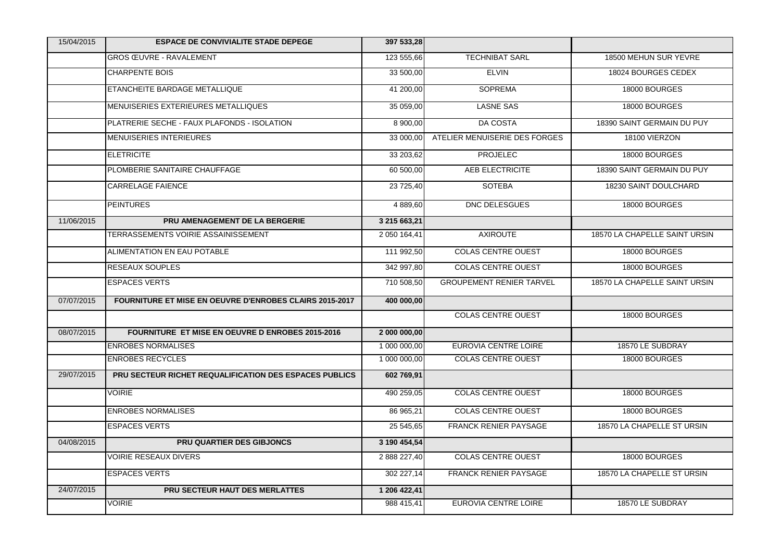| 15/04/2015 | <b>ESPACE DE CONVIVIALITE STADE DEPEGE</b>                     | 397 533,28   |                                 |                               |
|------------|----------------------------------------------------------------|--------------|---------------------------------|-------------------------------|
|            | <b>GROS ŒUVRE - RAVALEMENT</b>                                 | 123 555,66   | <b>TECHNIBAT SARL</b>           | 18500 MEHUN SUR YEVRE         |
|            | <b>CHARPENTE BOIS</b>                                          | 33 500,00    | <b>ELVIN</b>                    | 18024 BOURGES CEDEX           |
|            | ETANCHEITE BARDAGE METALLIQUE                                  | 41 200,00    | <b>SOPREMA</b>                  | 18000 BOURGES                 |
|            | MENUISERIES EXTERIEURES METALLIQUES                            | 35 059,00    | <b>LASNE SAS</b>                | 18000 BOURGES                 |
|            | PLATRERIE SECHE - FAUX PLAFONDS - ISOLATION                    | 8 900,00     | <b>DA COSTA</b>                 | 18390 SAINT GERMAIN DU PUY    |
|            | <b>MENUISERIES INTERIEURES</b>                                 | 33 000,00    | ATELIER MENUISERIE DES FORGES   | 18100 VIERZON                 |
|            | <b>ELETRICITE</b>                                              | 33 203,62    | <b>PROJELEC</b>                 | 18000 BOURGES                 |
|            | PLOMBERIE SANITAIRE CHAUFFAGE                                  | 60 500,00    | AEB ELECTRICITE                 | 18390 SAINT GERMAIN DU PUY    |
|            | <b>CARRELAGE FAIENCE</b>                                       | 23 725,40    | SOTEBA                          | 18230 SAINT DOULCHARD         |
|            | <b>PEINTURES</b>                                               | 4 889,60     | DNC DELESGUES                   | 18000 BOURGES                 |
| 11/06/2015 | PRU AMENAGEMENT DE LA BERGERIE                                 | 3 215 663,21 |                                 |                               |
|            | TERRASSEMENTS VOIRIE ASSAINISSEMENT                            | 2 050 164,41 | <b>AXIROUTE</b>                 | 18570 LA CHAPELLE SAINT URSIN |
|            | ALIMENTATION EN EAU POTABLE                                    | 111 992,50   | <b>COLAS CENTRE OUEST</b>       | 18000 BOURGES                 |
|            | <b>RESEAUX SOUPLES</b>                                         | 342 997,80   | <b>COLAS CENTRE OUEST</b>       | 18000 BOURGES                 |
|            | <b>ESPACES VERTS</b>                                           | 710 508,50   | <b>GROUPEMENT RENIER TARVEL</b> | 18570 LA CHAPELLE SAINT URSIN |
| 07/07/2015 | <b>FOURNITURE ET MISE EN OEUVRE D'ENROBES CLAIRS 2015-2017</b> | 400 000,00   |                                 |                               |
|            |                                                                |              | <b>COLAS CENTRE OUEST</b>       | 18000 BOURGES                 |
| 08/07/2015 | <b>FOURNITURE ET MISE EN OEUVRE D ENROBES 2015-2016</b>        | 2 000 000,00 |                                 |                               |
|            | <b>ENROBES NORMALISES</b>                                      | 1 000 000,00 | <b>EUROVIA CENTRE LOIRE</b>     | 18570 LE SUBDRAY              |
|            | <b>ENROBES RECYCLES</b>                                        | 1 000 000,00 | <b>COLAS CENTRE OUEST</b>       | 18000 BOURGES                 |
| 29/07/2015 | PRU SECTEUR RICHET REQUALIFICATION DES ESPACES PUBLICS         | 602 769,91   |                                 |                               |
|            | <b>VOIRIE</b>                                                  | 490 259,05   | <b>COLAS CENTRE OUEST</b>       | 18000 BOURGES                 |
|            | <b>ENROBES NORMALISES</b>                                      | 86 965,21    | <b>COLAS CENTRE OUEST</b>       | 18000 BOURGES                 |
|            | <b>ESPACES VERTS</b>                                           | 25 545,65    | <b>FRANCK RENIER PAYSAGE</b>    | 18570 LA CHAPELLE ST URSIN    |
| 04/08/2015 | <b>PRU QUARTIER DES GIBJONCS</b>                               | 3 190 454,54 |                                 |                               |
|            | <b>VOIRIE RESEAUX DIVERS</b>                                   | 2 888 227,40 | <b>COLAS CENTRE OUEST</b>       | 18000 BOURGES                 |
|            | <b>ESPACES VERTS</b>                                           | 302 227,14   | <b>FRANCK RENIER PAYSAGE</b>    | 18570 LA CHAPELLE ST URSIN    |
| 24/07/2015 | <b>PRU SECTEUR HAUT DES MERLATTES</b>                          | 1 206 422,41 |                                 |                               |
|            | <b>VOIRIE</b>                                                  | 988 415,41   | <b>EUROVIA CENTRE LOIRE</b>     | 18570 LE SUBDRAY              |